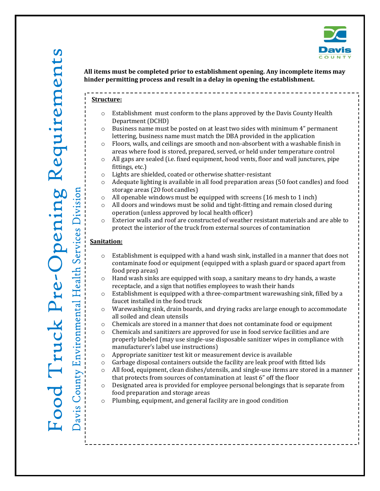

#### **Structure:**

- o Establishment must conform to the plans approved by the Davis County Health Department (DCHD)
- $\circ$  Business name must be posted on at least two sides with minimum 4" permanent lettering, business name must match the DBA provided in the application
- $\circ$  Floors, walls, and ceilings are smooth and non-absorbent with a washable finish in areas where food is stored, prepared, served, or held under temperature control
- $\circ$  All gaps are sealed (i.e. fixed equipment, hood vents, floor and wall junctures, pipe fittings, etc.)
- o Lights are shielded, coated or otherwise shatter-resistant
- o Adequate lighting is available in all food preparation areas (50 foot candles) and food storage areas (20 foot candles)
- $\circ$  All openable windows must be equipped with screens (16 mesh to 1 inch)
- o All doors and windows must be solid and tight-fitting and remain closed during operation (unless approved by local health officer)
- o Exterior walls and roof are constructed of weather resistant materials and are able to protect the interior of the truck from external sources of contamination

## **Sanitation:**

- $\circ$  Establishment is equipped with a hand wash sink, installed in a manner that does not contaminate food or equipment (equipped with a splash guard or spaced apart from food prep areas)
- $\circ$  Hand wash sinks are equipped with soap, a sanitary means to dry hands, a waste receptacle, and a sign that notifies employees to wash their hands
- $\circ$  Establishment is equipped with a three-compartment warewashing sink, filled by a faucet installed in the food truck
- $\circ$  Warewashing sink, drain boards, and drying racks are large enough to accommodate all soiled and clean utensils
- o Chemicals are stored in a manner that does not contaminate food or equipment
- $\circ$  Chemicals and sanitizers are approved for use in food service facilities and are properly labeled (may use single-use disposable sanitizer wipes in compliance with manufacturer's label use instructions)
- o Appropriate sanitizer test kit or measurement device is available
- $\circ$  Garbage disposal containers outside the facility are leak proof with fitted lids
- $\circ$  All food, equipment, clean dishes/utensils, and single-use items are stored in a manner that protects from sources of contamination at least 6" off the floor
- $\circ$  Designated area is provided for employee personal belongings that is separate from food preparation and storage areas

o Plumbing, equipment, and general facility are in good condition

Environmental Health Services Division

County I

avis

 $\ddot{\Omega}$